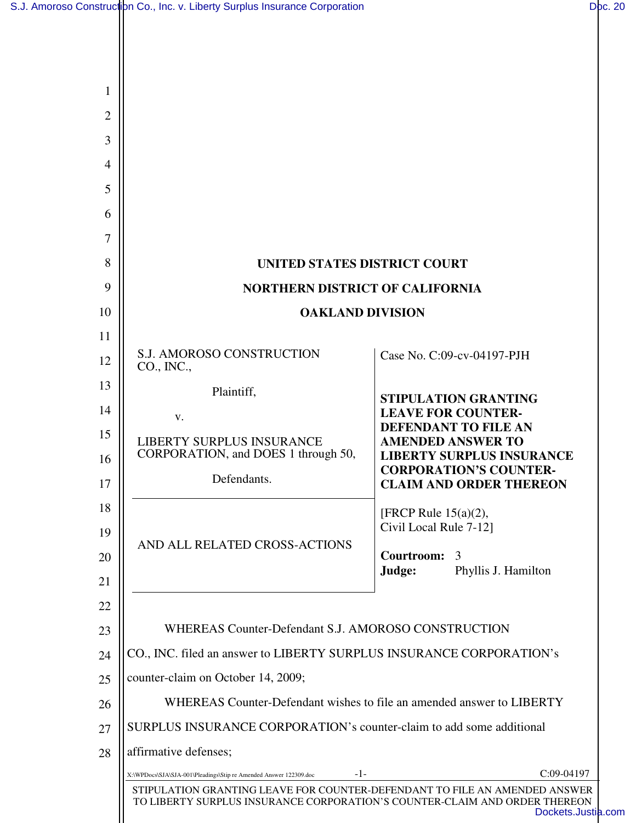| 1              |                                                                                                                                                          |                                                                   |  |
|----------------|----------------------------------------------------------------------------------------------------------------------------------------------------------|-------------------------------------------------------------------|--|
| $\overline{2}$ |                                                                                                                                                          |                                                                   |  |
| 3              |                                                                                                                                                          |                                                                   |  |
| 4              |                                                                                                                                                          |                                                                   |  |
| 5              |                                                                                                                                                          |                                                                   |  |
| 6              |                                                                                                                                                          |                                                                   |  |
| 7              |                                                                                                                                                          |                                                                   |  |
| 8              | <b>UNITED STATES DISTRICT COURT</b>                                                                                                                      |                                                                   |  |
| 9              | <b>NORTHERN DISTRICT OF CALIFORNIA</b>                                                                                                                   |                                                                   |  |
| 10             | <b>OAKLAND DIVISION</b>                                                                                                                                  |                                                                   |  |
| 11             |                                                                                                                                                          |                                                                   |  |
| 12             | <b>S.J. AMOROSO CONSTRUCTION</b><br>CO., INC.,                                                                                                           | Case No. C:09-cv-04197-PJH                                        |  |
| 13             | Plaintiff,                                                                                                                                               | <b>STIPULATION GRANTING</b>                                       |  |
| 14             | <b>LEAVE FOR COUNTER-</b><br>V.                                                                                                                          | <b>DEFENDANT TO FILE AN</b>                                       |  |
| 15             | <b>LIBERTY SURPLUS INSURANCE</b><br>CORPORATION, and DOES 1 through 50,                                                                                  | <b>AMENDED ANSWER TO</b>                                          |  |
| 16             | Defendants.                                                                                                                                              | <b>LIBERTY SURPLUS INSURANCE</b><br><b>CORPORATION'S COUNTER-</b> |  |
| 17             |                                                                                                                                                          | <b>CLAIM AND ORDER THEREON</b>                                    |  |
| 18             |                                                                                                                                                          | [FRCP Rule $15(a)(2)$ ,<br>Civil Local Rule 7-12]                 |  |
| 19             | AND ALL RELATED CROSS-ACTIONS                                                                                                                            |                                                                   |  |
| 20             |                                                                                                                                                          | Courtroom:<br>3<br>Judge:<br>Phyllis J. Hamilton                  |  |
| 21             |                                                                                                                                                          |                                                                   |  |
| 22<br>23       | WHEREAS Counter-Defendant S.J. AMOROSO CONSTRUCTION                                                                                                      |                                                                   |  |
| 24             | CO., INC. filed an answer to LIBERTY SURPLUS INSURANCE CORPORATION's                                                                                     |                                                                   |  |
| 25             | counter-claim on October 14, 2009;                                                                                                                       |                                                                   |  |
| 26             | WHEREAS Counter-Defendant wishes to file an amended answer to LIBERTY                                                                                    |                                                                   |  |
| 27             | SURPLUS INSURANCE CORPORATION's counter-claim to add some additional                                                                                     |                                                                   |  |
| 28             | affirmative defenses;                                                                                                                                    |                                                                   |  |
|                | -1-<br>X:\WPDocs\SJA\SJA-001\Pleadings\Stip re Amended Answer 122309.doc                                                                                 | $C:09-04197$                                                      |  |
|                | STIPULATION GRANTING LEAVE FOR COUNTER-DEFENDANT TO FILE AN AMENDED ANSWER<br>TO LIBERTY SURPLUS INSURANCE CORPORATION'S COUNTER-CLAIM AND ORDER THEREON | Dockets.Just                                                      |  |